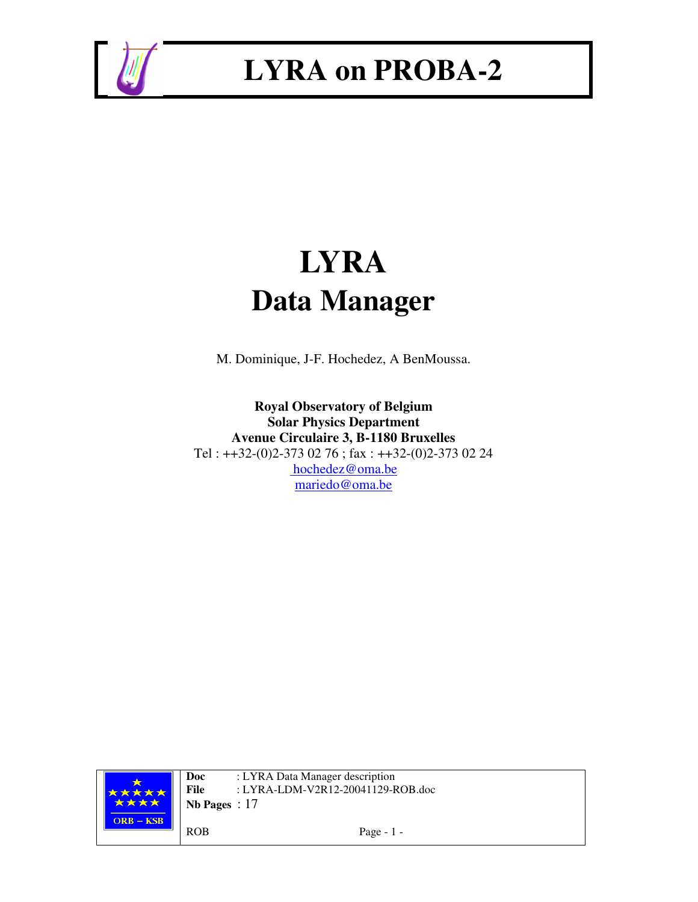

# **LYRA Data Manager**

M. Dominique, J-F. Hochedez, A BenMoussa.

**Royal Observatory of Belgium Solar Physics Department Avenue Circulaire 3, B-1180 Bruxelles** Tel : ++32-(0)2-373 02 76 ; fax : ++32-(0)2-373 02 24 hochedez@oma.be mariedo@oma.be

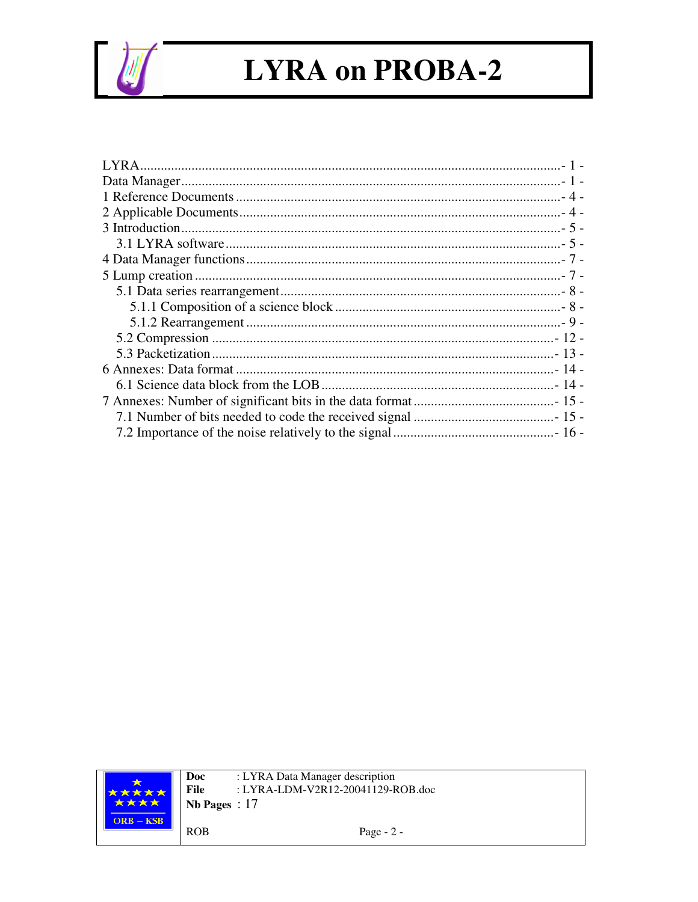

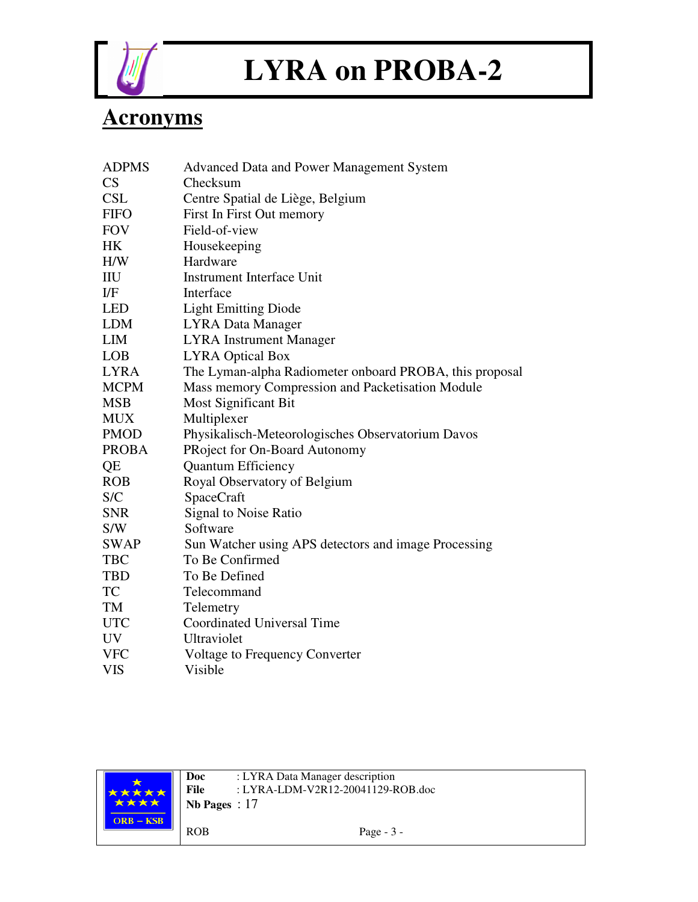

### **Acronyms**

| <b>ADPMS</b> | <b>Advanced Data and Power Management System</b>        |
|--------------|---------------------------------------------------------|
| CS           | Checksum                                                |
| <b>CSL</b>   | Centre Spatial de Liège, Belgium                        |
| <b>FIFO</b>  | First In First Out memory                               |
| <b>FOV</b>   | Field-of-view                                           |
| HK           | Housekeeping                                            |
| H/W          | Hardware                                                |
| IIU          | <b>Instrument Interface Unit</b>                        |
| $_{\rm I/F}$ | Interface                                               |
| <b>LED</b>   | <b>Light Emitting Diode</b>                             |
| <b>LDM</b>   | <b>LYRA Data Manager</b>                                |
| <b>LIM</b>   | <b>LYRA</b> Instrument Manager                          |
| <b>LOB</b>   | <b>LYRA Optical Box</b>                                 |
| <b>LYRA</b>  | The Lyman-alpha Radiometer onboard PROBA, this proposal |
| <b>MCPM</b>  | Mass memory Compression and Packetisation Module        |
| <b>MSB</b>   | Most Significant Bit                                    |
| <b>MUX</b>   | Multiplexer                                             |
| <b>PMOD</b>  | Physikalisch-Meteorologisches Observatorium Davos       |
| <b>PROBA</b> | PRoject for On-Board Autonomy                           |
| QE           | <b>Quantum Efficiency</b>                               |
| <b>ROB</b>   | Royal Observatory of Belgium                            |
| S/C          | SpaceCraft                                              |
| <b>SNR</b>   | Signal to Noise Ratio                                   |
| S/W          | Software                                                |
| <b>SWAP</b>  | Sun Watcher using APS detectors and image Processing    |
| <b>TBC</b>   | To Be Confirmed                                         |
| <b>TBD</b>   | To Be Defined                                           |
| TC           | Telecommand                                             |
| TM           | Telemetry                                               |
| <b>UTC</b>   | Coordinated Universal Time                              |
| UV           | Ultraviolet                                             |
| <b>VFC</b>   | Voltage to Frequency Converter                          |
| <b>VIS</b>   | Visible                                                 |

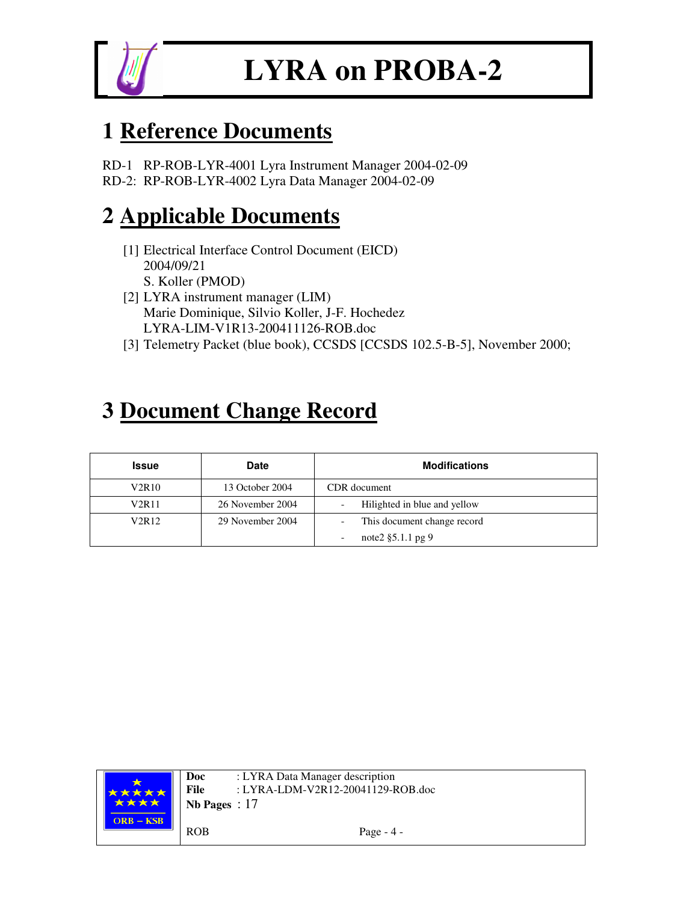

### **1 Reference Documents**

RD-1 RP-ROB-LYR-4001 Lyra Instrument Manager 2004-02-09 RD-2: RP-ROB-LYR-4002 Lyra Data Manager 2004-02-09

### **2 Applicable Documents**

- [1] Electrical Interface Control Document (EICD) 2004/09/21 S. Koller (PMOD)
- [2] LYRA instrument manager (LIM) Marie Dominique, Silvio Koller, J-F. Hochedez LYRA-LIM-V1R13-200411126-ROB.doc
- [3] Telemetry Packet (blue book), CCSDS [CCSDS 102.5-B-5], November 2000;

### **3 Document Change Record**

| Issue                          | <b>Date</b>      | <b>Modifications</b>         |
|--------------------------------|------------------|------------------------------|
| V2R10                          | 13 October 2004  | CDR document                 |
| V2R11                          | 26 November 2004 | Hilighted in blue and yellow |
| V <sub>2</sub> R <sub>12</sub> | 29 November 2004 | This document change record  |
|                                |                  | note $2 \xi 5.1.1$ pg 9      |

| 大大大大<br>**** | Doc<br>File<br>Nb Pages : $17$ | : LYRA Data Manager description<br>: LYRA-LDM-V2R12-20041129-ROB.doc |
|--------------|--------------------------------|----------------------------------------------------------------------|
| $ORB - KSB$  | <b>ROB</b>                     | Page $-4$ -                                                          |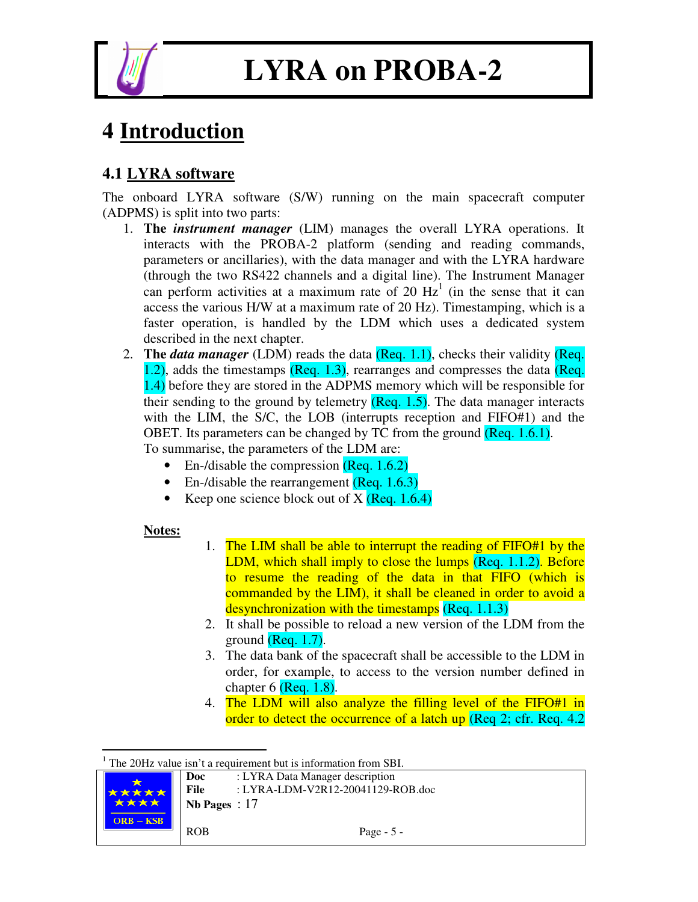

### **4 Introduction**

### **4.1 LYRA software**

The onboard LYRA software (S/W) running on the main spacecraft computer (ADPMS) is split into two parts:

- 1. **The** *instrument manager* (LIM) manages the overall LYRA operations. It interacts with the PROBA-2 platform (sending and reading commands, parameters or ancillaries), with the data manager and with the LYRA hardware (through the two RS422 channels and a digital line). The Instrument Manager can perform activities at a maximum rate of 20  $Hz<sup>1</sup>$  (in the sense that it can access the various H/W at a maximum rate of 20 Hz). Timestamping, which is a faster operation, is handled by the LDM which uses a dedicated system described in the next chapter.
- 2. **The** *data manager* (LDM) reads the data (Req. 1.1), checks their validity (Req. 1.2), adds the timestamps (Req. 1.3), rearranges and compresses the data (Req. 1.4) before they are stored in the ADPMS memory which will be responsible for their sending to the ground by telemetry  $(Reg. 1.5)$ . The data manager interacts with the LIM, the S/C, the LOB (interrupts reception and FIFO#1) and the OBET. Its parameters can be changed by TC from the ground (Req. 1.6.1). To summarise, the parameters of the LDM are:
	- En-/disable the compression  $(Reg. 1.6.2)$
	- En-/disable the rearrangement (Req. 1.6.3)
	- Keep one science block out of  $X$  (Req. 1.6.4)

#### **Notes:**

- 1. The LIM shall be able to interrupt the reading of FIFO#1 by the LDM, which shall imply to close the lumps (Req. 1.1.2). Before to resume the reading of the data in that FIFO (which is commanded by the LIM), it shall be cleaned in order to avoid a desynchronization with the timestamps (Req. 1.1.3)
- 2. It shall be possible to reload a new version of the LDM from the ground (Req. 1.7).
- 3. The data bank of the spacecraft shall be accessible to the LDM in order, for example, to access to the version number defined in chapter  $6$  (Req. 1.8).
- 4. The LDM will also analyze the filling level of the FIFO#1 in order to detect the occurrence of a latch up (Req 2; cfr. Req. 4.2)

 $1$  The 20Hz value isn't a requirement but is information from SBI.

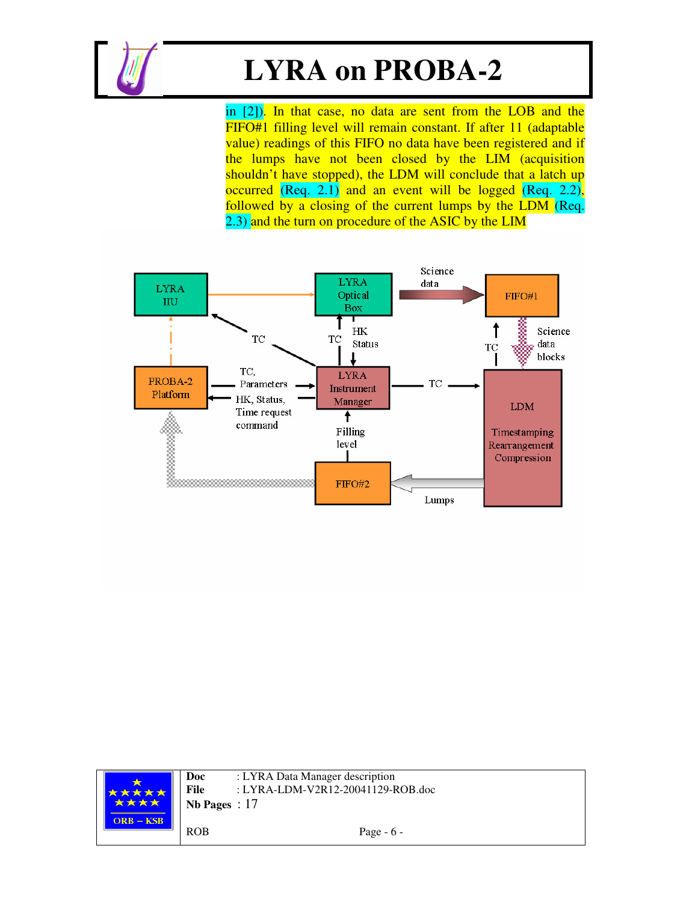

in [2]). In that case, no data are sent from the LOB and the FIFO#1 filling level will remain constant. If after 11 (adaptable value) readings of this FIFO no data have been registered and if the lumps have not been closed by the LIM (acquisition shouldn't have stopped), the LDM will conclude that a latch up occurred (Req. 2.1) and an event will be logged (Req. 2.2), followed by a closing of the current lumps by the LDM (Req. 2.3) and the turn on procedure of the ASIC by the LIM



| <b>*****</b><br><b>太太太太</b> | Doc<br>File<br>Nb Pages : $17$ | : LYRA Data Manager description<br>: LYRA-LDM-V2R12-20041129-ROB.doc |
|-----------------------------|--------------------------------|----------------------------------------------------------------------|
| $ORB - KSB$                 | <b>ROB</b>                     | Page $-6$ -                                                          |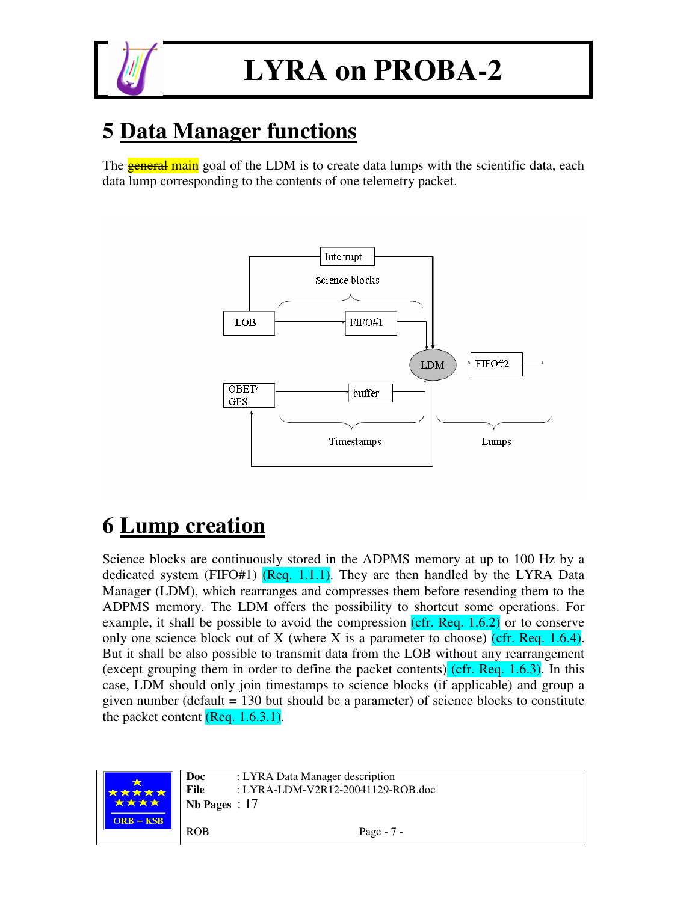

### **5 Data Manager functions**

The **general main** goal of the LDM is to create data lumps with the scientific data, each data lump corresponding to the contents of one telemetry packet.



## **6 Lump creation**

Science blocks are continuously stored in the ADPMS memory at up to 100 Hz by a dedicated system (FIFO#1)  $($ Req. 1.1.1). They are then handled by the LYRA Data Manager (LDM), which rearranges and compresses them before resending them to the ADPMS memory. The LDM offers the possibility to shortcut some operations. For example, it shall be possible to avoid the compression  $(cfr. Req. 1.6.2)$  or to conserve only one science block out of X (where X is a parameter to choose) (cfr. Req. 1.6.4). But it shall be also possible to transmit data from the LOB without any rearrangement (except grouping them in order to define the packet contents) (cfr. Req.  $1.6.3$ ). In this case, LDM should only join timestamps to science blocks (if applicable) and group a given number (default = 130 but should be a parameter) of science blocks to constitute the packet content  $($ Req. 1.6.3.1 $)$ .

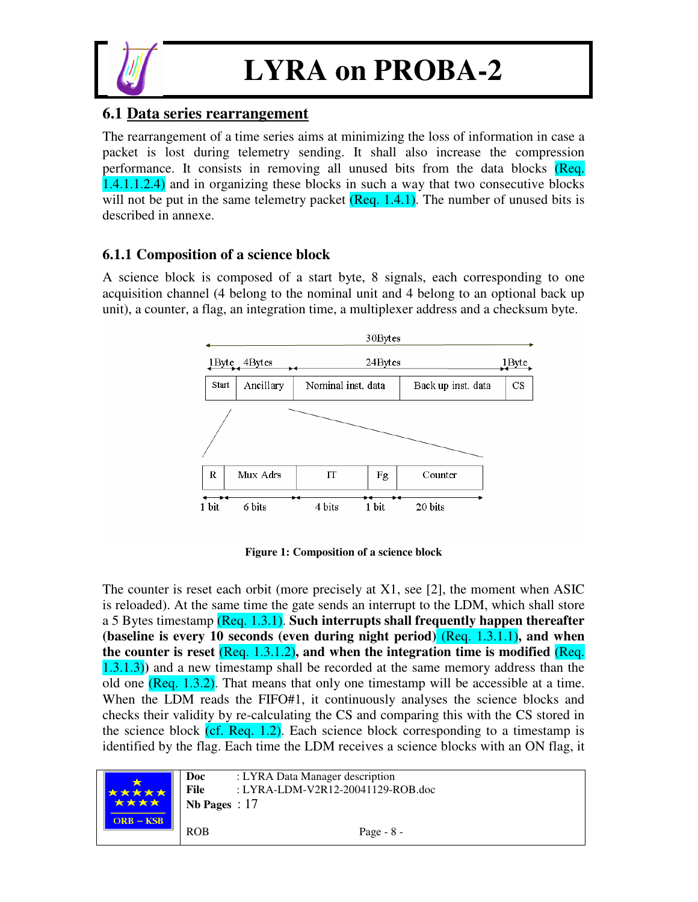

#### **6.1 Data series rearrangement**

The rearrangement of a time series aims at minimizing the loss of information in case a packet is lost during telemetry sending. It shall also increase the compression performance. It consists in removing all unused bits from the data blocks (Req. 1.4.1.1.2.4) and in organizing these blocks in such a way that two consecutive blocks will not be put in the same telemetry packet  $(Reg. 1.4.1)$ . The number of unused bits is described in annexe.

#### **6.1.1 Composition of a science block**

A science block is composed of a start byte, 8 signals, each corresponding to one acquisition channel (4 belong to the nominal unit and 4 belong to an optional back up unit), a counter, a flag, an integration time, a multiplexer address and a checksum byte.



**Figure 1: Composition of a science block**

The counter is reset each orbit (more precisely at X1, see [2], the moment when ASIC is reloaded). At the same time the gate sends an interrupt to the LDM, which shall store a 5 Bytes timestamp (Req. 1.3.1). **Such interrupts shall frequently happen thereafter (baseline is every 10 seconds (even during night period)** (Req. 1.3.1.1)**, and when the counter is reset** (Req. 1.3.1.2)**, and when the integration time is modified** (Req. 1.3.1.3)**)** and a new timestamp shall be recorded at the same memory address than the old one (Req.  $1.3.2$ ). That means that only one timestamp will be accessible at a time. When the LDM reads the FIFO#1, it continuously analyses the science blocks and checks their validity by re-calculating the CS and comparing this with the CS stored in the science block  $(cf. Reg. 1.2)$ . Each science block corresponding to a timestamp is identified by the flag. Each time the LDM receives a science blocks with an ON flag, it

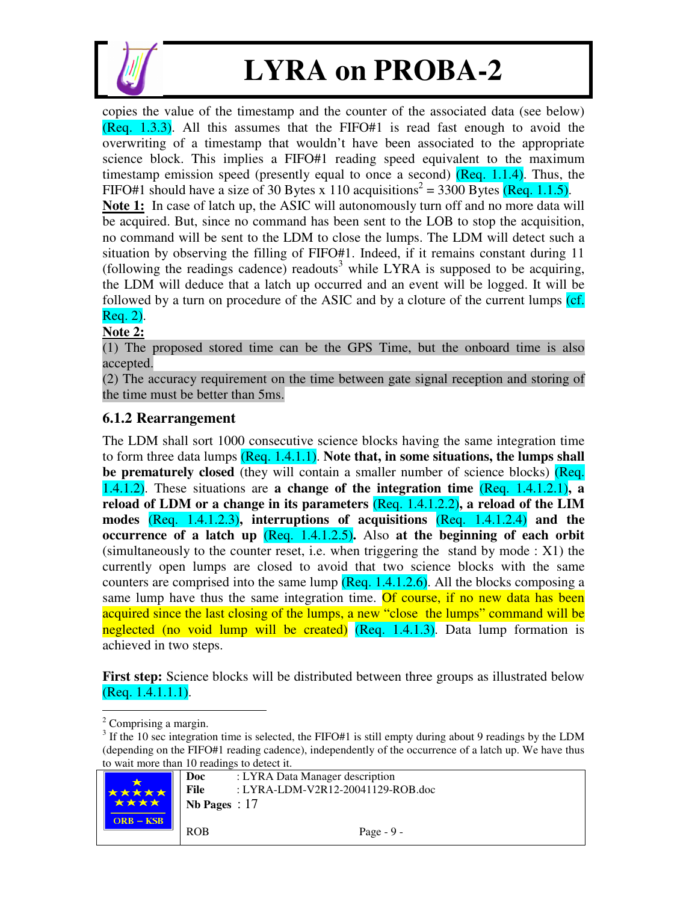

copies the value of the timestamp and the counter of the associated data (see below) (Req. 1.3.3). All this assumes that the FIFO#1 is read fast enough to avoid the overwriting of a timestamp that wouldn't have been associated to the appropriate science block. This implies a FIFO#1 reading speed equivalent to the maximum timestamp emission speed (presently equal to once a second)  $(Reg. 1.1.4)$ . Thus, the FIFO#1 should have a size of 30 Bytes x 110 acquisitions<sup>2</sup> = 3300 Bytes (Req. 1.1.5). **Note 1:** In case of latch up, the ASIC will autonomously turn off and no more data will be acquired. But, since no command has been sent to the LOB to stop the acquisition, no command will be sent to the LDM to close the lumps. The LDM will detect such a situation by observing the filling of FIFO#1. Indeed, if it remains constant during 11 (following the readings cadence) readouts 3 while LYRA is supposed to be acquiring, the LDM will deduce that a latch up occurred and an event will be logged. It will be followed by a turn on procedure of the ASIC and by a cloture of the current lumps (cf. Req. 2).

**Note 2:**

(1) The proposed stored time can be the GPS Time, but the onboard time is also accepted.

(2) The accuracy requirement on the time between gate signal reception and storing of the time must be better than 5ms.

#### **6.1.2 Rearrangement**

The LDM shall sort 1000 consecutive science blocks having the same integration time to form three data lumps (Req. 1.4.1.1). **Note that, in some situations, the lumps shall be prematurely closed** (they will contain a smaller number of science blocks) (**Req.** 1.4.1.2). These situations are **a change of the integration time** (Req. 1.4.1.2.1)**, a reload of LDM or a change in its parameters** (Req. 1.4.1.2.2)**, a reload of the LIM modes** (Req. 1.4.1.2.3)**, interruptions of acquisitions** (Req. 1.4.1.2.4) **and the occurrence of a latch up** (Req. 1.4.1.2.5)**.** Also **at the beginning of each orbit** (simultaneously to the counter reset, i.e. when triggering the stand by mode : X1) the currently open lumps are closed to avoid that two science blocks with the same counters are comprised into the same lump  $($ Req. 1.4.1.2.6). All the blocks composing a same lump have thus the same integration time. Of course, if no new data has been acquired since the last closing of the lumps, a new "close the lumps" command will be neglected (no void lump will be created) (Req. 1.4.1.3). Data lump formation is achieved in two steps.

**First step:** Science blocks will be distributed between three groups as illustrated below (Req. 1.4.1.1.1).

 $3$  If the 10 sec integration time is selected, the FIFO#1 is still empty during about 9 readings by the LDM (depending on the FIFO#1 reading cadence), independently of the occurrence of a latch up. We have thus to wait more than 10 readings to detect it.



<sup>&</sup>lt;sup>2</sup> Comprising a margin.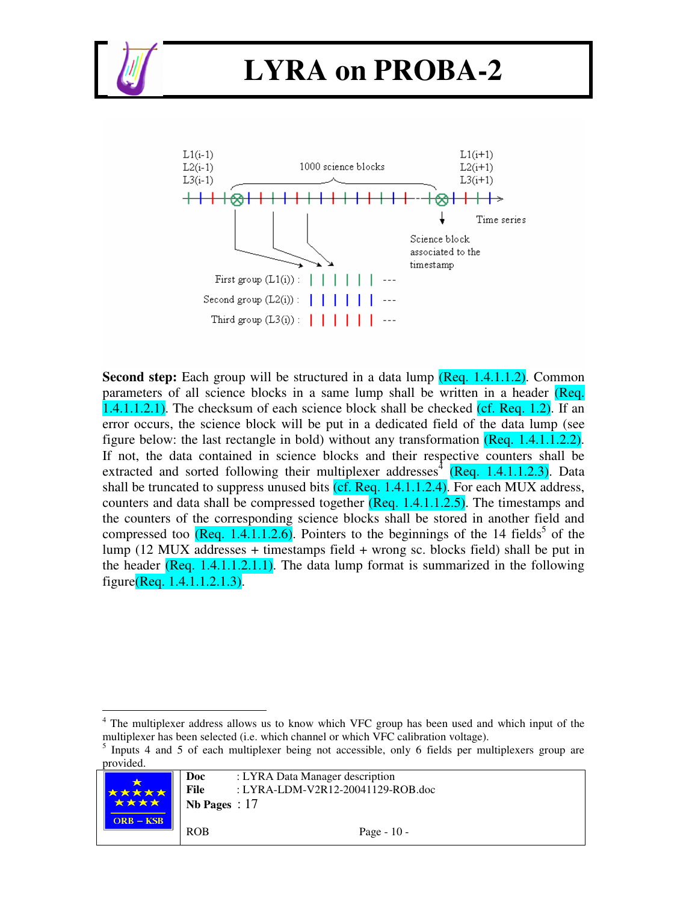



**Second step:** Each group will be structured in a data lump (Req. 1.4.1.1.2). Common parameters of all science blocks in a same lump shall be written in a header (Req.  $1.4.1.1.2.1$ ). The checksum of each science block shall be checked (cf. Req. 1.2). If an error occurs, the science block will be put in a dedicated field of the data lump (see figure below: the last rectangle in bold) without any transformation (Req. 1.4.1.1.2.2). If not, the data contained in science blocks and their respective counters shall be extracted and sorted following their multiplexer addresses<sup>4</sup> (Req. 1.4.1.1.2.3). Data shall be truncated to suppress unused bits  $(cf.$  Req.  $1.4.1.1.2.4)$ . For each MUX address, counters and data shall be compressed together  $(Reg. 1.4.1.1.2.5)$ . The timestamps and the counters of the corresponding science blocks shall be stored in another field and compressed too  $($ Req. 1.4.1.1.2.6). Pointers to the beginnings of the 14 fields<sup>5</sup> of the lump (12 MUX addresses + timestamps field + wrong sc. blocks field) shall be put in the header  $($ Req. 1.4.1.1.2.1.1). The data lump format is summarized in the following figure(Req. 1.4.1.1.2.1.3).

<sup>5</sup> Inputs 4 and 5 of each multiplexer being not accessible, only 6 fields per multiplexers group are provided.



<sup>&</sup>lt;sup>4</sup> The multiplexer address allows us to know which VFC group has been used and which input of the multiplexer has been selected (i.e. which channel or which VFC calibration voltage).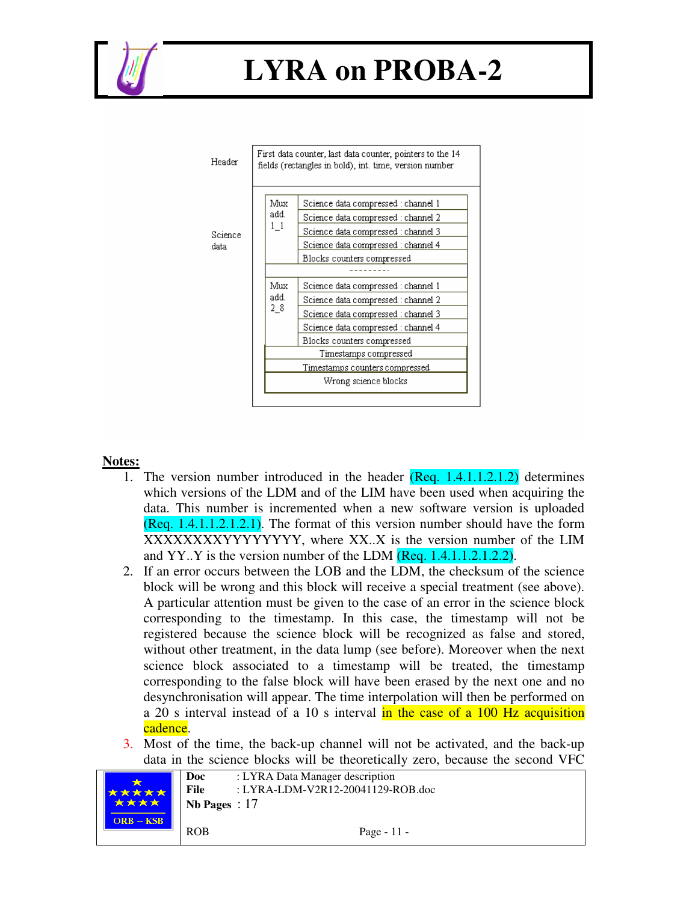



#### **Notes:**

- 1. The version number introduced in the header (Req. 1.4.1.1.2.1.2) determines which versions of the LDM and of the LIM have been used when acquiring the data. This number is incremented when a new software version is uploaded (Req. 1.4.1.1.2.1.2.1). The format of this version number should have the form XXXXXXXXYYYYYYYY, where XX..X is the version number of the LIM and YY..Y is the version number of the LDM (Req. 1.4.1.1.2.1.2.2).
- 2. If an error occurs between the LOB and the LDM, the checksum of the science block will be wrong and this block will receive a special treatment (see above). A particular attention must be given to the case of an error in the science block corresponding to the timestamp. In this case, the timestamp will not be registered because the science block will be recognized as false and stored, without other treatment, in the data lump (see before). Moreover when the next science block associated to a timestamp will be treated, the timestamp corresponding to the false block will have been erased by the next one and no desynchronisation will appear. The time interpolation will then be performed on a 20 s interval instead of a 10 s interval in the case of a 100 Hz acquisition cadence.
- 3. Most of the time, the back-up channel will not be activated, and the back-up data in the science blocks will be theoretically zero, because the second VFC

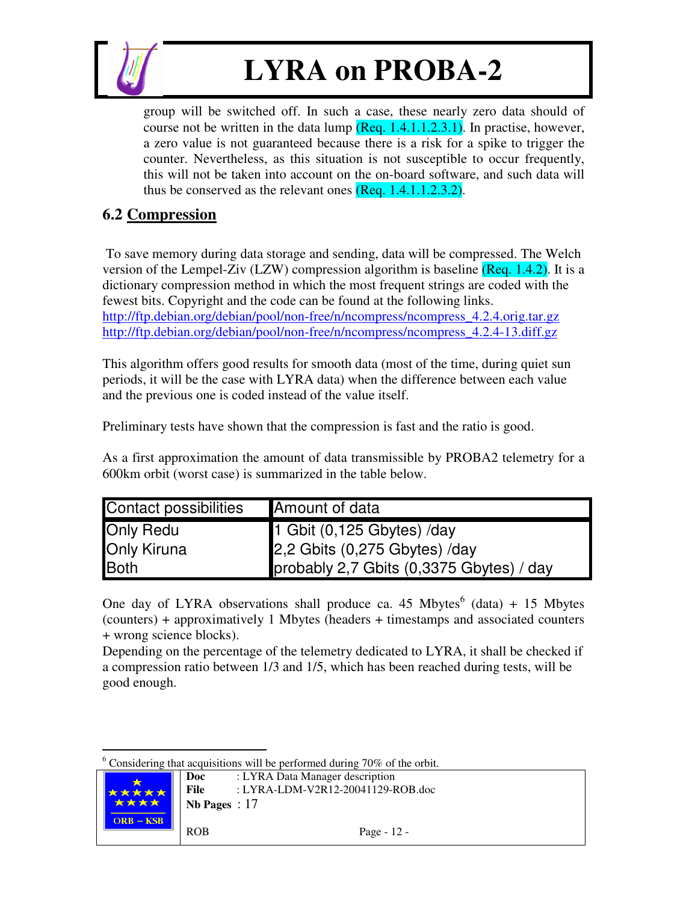

group will be switched off. In such a case, these nearly zero data should of course not be written in the data lump  $($ Req. 1.4.1.1.2.3.1). In practise, however, a zero value is not guaranteed because there is a risk for a spike to trigger the counter. Nevertheless, as this situation is not susceptible to occur frequently, this will not be taken into account on the on-board software, and such data will thus be conserved as the relevant ones (Req. 1.4.1.1.2.3.2).

#### **6.2 Compression**

To save memory during data storage and sending, data will be compressed. The Welch version of the Lempel-Ziv (LZW) compression algorithm is baseline  $($ Req. 1.4.2). It is a dictionary compression method in which the most frequent strings are coded with the fewest bits. Copyright and the code can be found at the following links. http://ftp.debian.org/debian/pool/non-free/n/ncompress/ncompress\_4.2.4.orig.tar.gz http://ftp.debian.org/debian/pool/non-free/n/ncompress/ncompress\_4.2.4-13.diff.gz

This algorithm offers good results for smooth data (most of the time, during quiet sun periods, it will be the case with LYRA data) when the difference between each value and the previous one is coded instead of the value itself.

Preliminary tests have shown that the compression is fast and the ratio is good.

As a first approximation the amount of data transmissible by PROBA2 telemetry for a 600km orbit (worst case) is summarized in the table below.

| <b>Contact possibilities</b> | Amount of data                           |
|------------------------------|------------------------------------------|
| <b>Only Redu</b>             | $\sqrt{1}$ Gbit $(0,125$ Gbytes) /day    |
| <b>Only Kiruna</b>           | 2,2 Gbits (0,275 Gbytes) /day            |
| Both                         | probably 2,7 Gbits (0,3375 Gbytes) / day |

One day of LYRA observations shall produce ca. 45 Mbytes $<sup>6</sup>$  (data) + 15 Mbytes</sup> (counters) + approximatively 1 Mbytes (headers + timestamps and associated counters + wrong science blocks).

Depending on the percentage of the telemetry dedicated to LYRA, it shall be checked if a compression ratio between 1/3 and 1/5, which has been reached during tests, will be good enough.

 $6$  Considering that acquisitions will be performed during 70% of the orbit.

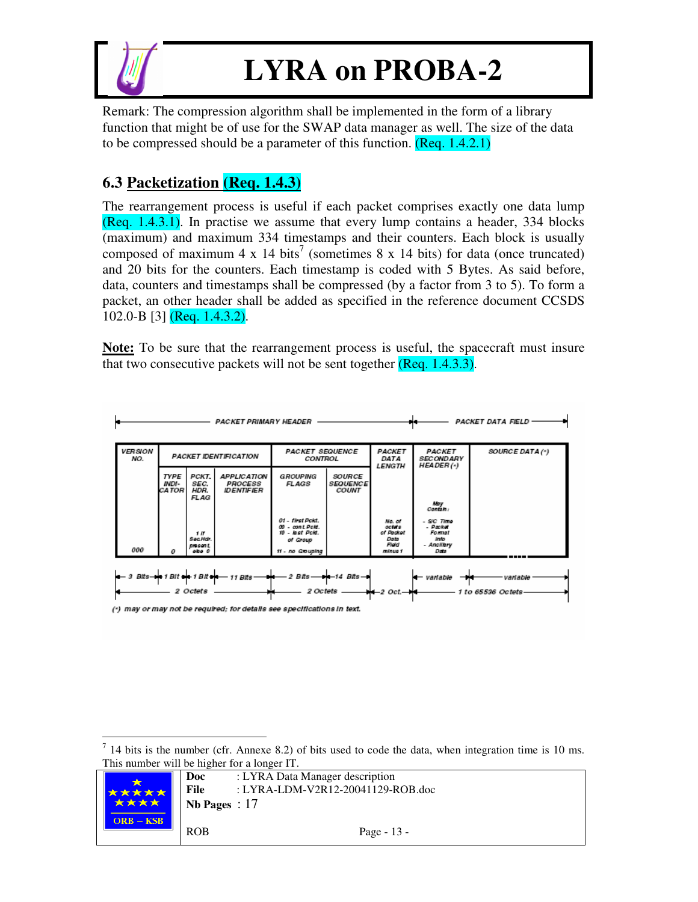

Remark: The compression algorithm shall be implemented in the form of a library function that might be of use for the SWAP data manager as well. The size of the data to be compressed should be a parameter of this function. (Req. 1.4.2.1)

### **6.3 Packetization (Req. 1.4.3)**

The rearrangement process is useful if each packet comprises exactly one data lump (Req. 1.4.3.1). In practise we assume that every lump contains a header, 334 blocks (maximum) and maximum 334 timestamps and their counters. Each block is usually composed of maximum 4 x 14 bits<sup>7</sup> (sometimes 8 x 14 bits) for data (once truncated) and 20 bits for the counters. Each timestamp is coded with 5 Bytes. As said before, data, counters and timestamps shall be compressed (by a factor from 3 to 5). To form a packet, an other header shall be added as specified in the reference document CCSDS 102.0-B [3] (Req. 1.4.3.2).

**Note:** To be sure that the rearrangement process is useful, the spacecraft must insure that two consecutive packets will not be sent together (Req. 1.4.3.3).

|                       | <b>PACKET DATA FIELD</b><br><b>PACKET PRIMARY HEADER</b>                                                                                                                       |                                      |                                                                         |                                                |                                                  |                                                |                                                 |                 |  |  |
|-----------------------|--------------------------------------------------------------------------------------------------------------------------------------------------------------------------------|--------------------------------------|-------------------------------------------------------------------------|------------------------------------------------|--------------------------------------------------|------------------------------------------------|-------------------------------------------------|-----------------|--|--|
| <b>VERSION</b><br>NO. | <b>PACKET IDENTIFICATION</b>                                                                                                                                                   |                                      |                                                                         | <b>PACKET SEQUENCE</b><br>CONTROL              |                                                  | PACKET<br>DATA<br><b>LENGTH</b>                | PACKET<br><b>SECONDARY</b><br><b>HEADER(*)</b>  | SOURCE DATA (*) |  |  |
|                       | <b>TYPE</b><br>INDI-<br>CA TOR                                                                                                                                                 | PCKT.<br>SEC.<br>HDR.<br><b>FLAG</b> | <b>APPLICATION</b><br><b>PROCESS</b><br><b>IDENTIFIER</b>               | <b>GROUPING</b><br>FLAGS                       | <b>SOURCE</b><br><b>SEQUENCE</b><br><b>COUNT</b> |                                                |                                                 |                 |  |  |
|                       |                                                                                                                                                                                |                                      |                                                                         | 01 - first Pokt.                               |                                                  |                                                | May<br>Contain:<br>- S/C Time                   |                 |  |  |
| 000                   |                                                                                                                                                                                | 1 If<br>Sec.Hdr.<br>present          |                                                                         | 00 - cont Pold.<br>10 - last Pold.<br>of Group |                                                  | No. of<br>octots<br>of Pecket<br>Data<br>Field | - Packet<br><b>Format</b><br>Info<br>- Anolibry |                 |  |  |
|                       | 11 - no Grouping<br>obo 0<br>minus 1<br>Data<br>o                                                                                                                              |                                      |                                                                         |                                                |                                                  |                                                |                                                 |                 |  |  |
|                       | $2 \, B$ its $  +$ $ 14 \, B$ its $-$<br>3 Bits-1 Bit + 1 Bit +<br>$-$ 11 Bits -<br>- variable<br>variable<br>2 Octets<br>2 Octets -<br>$+-$ 2 Oct. $-+-$<br>1 to 65536 Octets |                                      |                                                                         |                                                |                                                  |                                                |                                                 |                 |  |  |
|                       |                                                                                                                                                                                |                                      | (*) may or may not be required; for details see specifications in text. |                                                |                                                  |                                                |                                                 |                 |  |  |

 $<sup>7</sup>$  14 bits is the number (cfr. Annexe 8.2) of bits used to code the data, when integration time is 10 ms.</sup> This number will be higher for a longer IT.

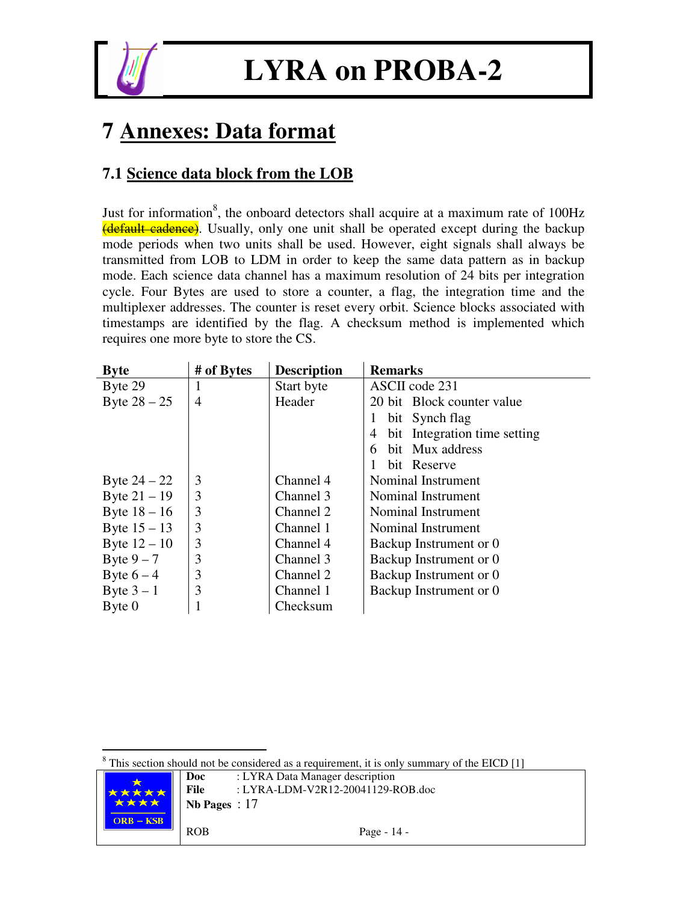

### **7 Annexes: Data format**

### **7.1 Science data block from the LOB**

Just for information<sup>8</sup>, the onboard detectors shall acquire at a maximum rate of 100Hz (default cadence). Usually, only one unit shall be operated except during the backup mode periods when two units shall be used. However, eight signals shall always be transmitted from LOB to LDM in order to keep the same data pattern as in backup mode. Each science data channel has a maximum resolution of 24 bits per integration cycle. Four Bytes are used to store a counter, a flag, the integration time and the multiplexer addresses. The counter is reset every orbit. Science blocks associated with timestamps are identified by the flag. A checksum method is implemented which requires one more byte to store the CS.

| <b>Byte</b>    | # of Bytes     | <b>Description</b> | <b>Remarks</b>                    |
|----------------|----------------|--------------------|-----------------------------------|
| Byte 29        |                | Start byte         | ASCII code 231                    |
| Byte $28 - 25$ | $\overline{4}$ | Header             | 20 bit Block counter value        |
|                |                |                    | bit Synch flag                    |
|                |                |                    | bit Integration time setting<br>4 |
|                |                |                    | bit Mux address<br>6.             |
|                |                |                    | bit Reserve                       |
| Byte $24 - 22$ | 3              | Channel 4          | Nominal Instrument                |
| Byte $21 - 19$ | 3              | Channel 3          | Nominal Instrument                |
| Byte $18 - 16$ | 3              | Channel 2          | Nominal Instrument                |
| Byte $15 - 13$ | 3              | Channel 1          | Nominal Instrument                |
| Byte $12 - 10$ | 3              | Channel 4          | Backup Instrument or 0            |
| Byte $9-7$     | 3              | Channel 3          | Backup Instrument or 0            |
| Byte $6-4$     | 3              | Channel 2          | Backup Instrument or 0            |
| Byte $3-1$     | 3              | Channel 1          | Backup Instrument or 0            |
| Byte 0         |                | Checksum           |                                   |

 $8$  This section should not be considered as a requirement, it is only summary of the EICD [1]

|             | Doc             | : LYRA Data Manager description   |
|-------------|-----------------|-----------------------------------|
| <b>₹★★★</b> | File            | : LYRA-LDM-V2R12-20041129-ROB.doc |
| ****        | Nb Pages : $17$ |                                   |
| $ORB - KSB$ | <b>ROB</b>      | Page - $14$ -                     |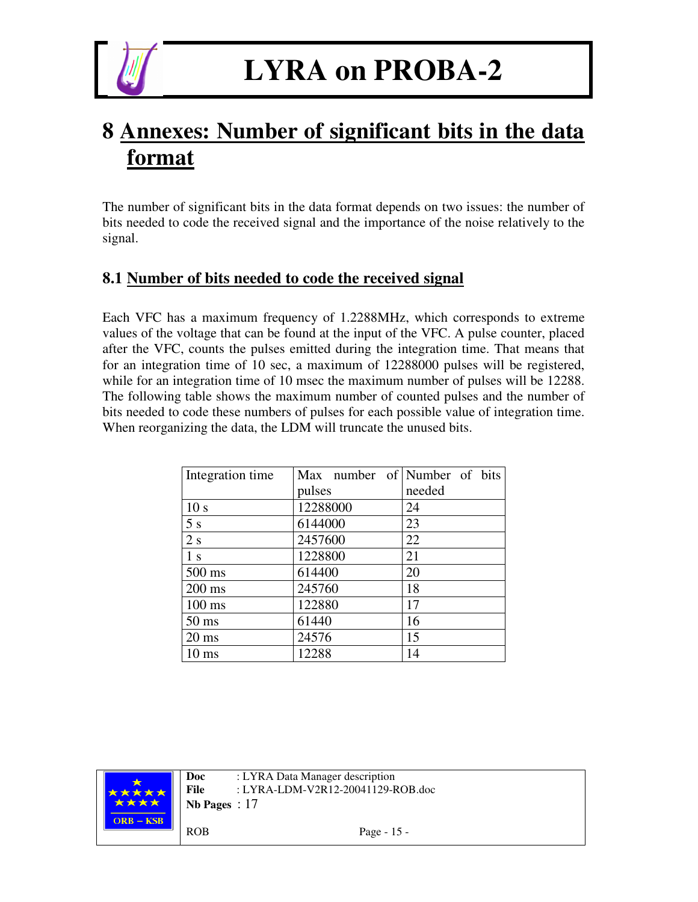

### **8 Annexes: Number of significant bits in the data format**

The number of significant bits in the data format depends on two issues: the number of bits needed to code the received signal and the importance of the noise relatively to the signal.

#### **8.1 Number of bits needed to code the received signal**

Each VFC has a maximum frequency of 1.2288MHz, which corresponds to extreme values of the voltage that can be found at the input of the VFC. A pulse counter, placed after the VFC, counts the pulses emitted during the integration time. That means that for an integration time of 10 sec, a maximum of 12288000 pulses will be registered, while for an integration time of 10 msec the maximum number of pulses will be 12288. The following table shows the maximum number of counted pulses and the number of bits needed to code these numbers of pulses for each possible value of integration time. When reorganizing the data, the LDM will truncate the unused bits.

| Integration time | Max number of Number of bits |        |
|------------------|------------------------------|--------|
|                  | pulses                       | needed |
| 10 <sub>s</sub>  | 12288000                     | 24     |
| 5s               | 6144000                      | 23     |
| 2s               | 2457600                      | 22     |
| 1 <sub>s</sub>   | 1228800                      | 21     |
| 500 ms           | 614400                       | 20     |
| $200 \text{ ms}$ | 245760                       | 18     |
| $100$ ms         | 122880                       | 17     |
| $50 \text{ ms}$  | 61440                        | 16     |
| $20 \text{ ms}$  | 24576                        | 15     |
| $10 \text{ ms}$  | 12288                        | 14     |

|             | Doc             | : LYRA Data Manager description   |  |  |  |
|-------------|-----------------|-----------------------------------|--|--|--|
| 大大大大        | File            | : LYRA-LDM-V2R12-20041129-ROB.doc |  |  |  |
| ****        | Nb Pages : $17$ |                                   |  |  |  |
| $ORB - KSB$ |                 |                                   |  |  |  |
|             | <b>ROB</b>      | Page - $15$ -                     |  |  |  |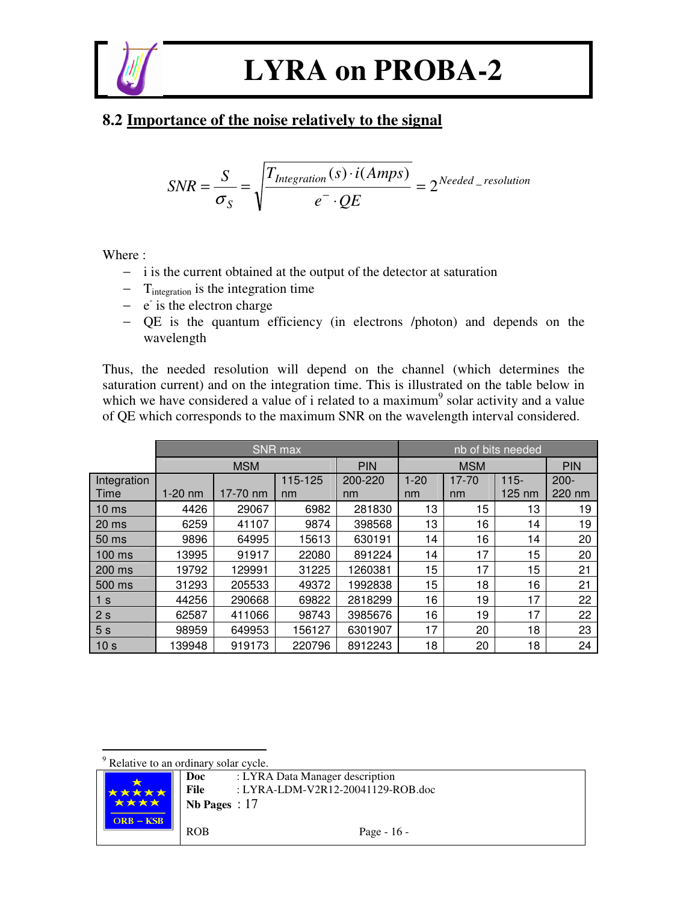

#### **8.2 Importance of the noise relatively to the signal**

$$
SNR = \frac{S}{\sigma_S} = \sqrt{\frac{T_{Integration}(s) \cdot i(Amps)}{e^{\dagger} \cdot QE}} = 2^{Needed\_resolution}
$$

Where :

- − i is the current obtained at the output of the detector at saturation
- − Tintegration is the integration time
- − e is the electron charge
- − QE is the quantum efficiency (in electrons /photon) and depends on the wavelength

Thus, the needed resolution will depend on the channel (which determines the saturation current) and on the integration time. This is illustrated on the table below in which we have considered a value of i related to a maximum<sup>9</sup> solar activity and a value of QE which corresponds to the maximum SNR on the wavelength interval considered.

|                     |           |            | <b>SNR</b> max |               | nb of bits needed |                 |                             |                   |  |
|---------------------|-----------|------------|----------------|---------------|-------------------|-----------------|-----------------------------|-------------------|--|
|                     |           | <b>MSM</b> |                | <b>PIN</b>    | <b>MSM</b>        |                 |                             | <b>PIN</b>        |  |
| Integration<br>Time | $1-20$ nm | 17-70 nm   | 115-125<br>nm  | 200-220<br>nm | $1 - 20$<br>nm    | $17 - 70$<br>nm | $115 -$<br>$125 \text{ nm}$ | $200 -$<br>220 nm |  |
| 10 <sub>ms</sub>    | 4426      | 29067      | 6982           | 281830        | 13                | 15              | 13                          | 19                |  |
| 20 <sub>ms</sub>    | 6259      | 41107      | 9874           | 398568        | 13                | 16              | 14                          | 19                |  |
| 50 ms               | 9896      | 64995      | 15613          | 630191        | 14                | 16              | 14                          | 20                |  |
| 100 ms              | 13995     | 91917      | 22080          | 891224        | 14                | 17              | 15                          | 20                |  |
| 200 ms              | 19792     | 129991     | 31225          | 1260381       | 15                | 17              | 15                          | 21                |  |
| 500 ms              | 31293     | 205533     | 49372          | 1992838       | 15                | 18              | 16                          | 21                |  |
| 1 s                 | 44256     | 290668     | 69822          | 2818299       | 16                | 19              | 17                          | 22                |  |
| 2 <sub>s</sub>      | 62587     | 411066     | 98743          | 3985676       | 16                | 19              | 17                          | 22                |  |
| 5s                  | 98959     | 649953     | 156127         | 6301907       | 17                | 20              | 18                          | 23                |  |
| 10 <sub>s</sub>     | 139948    | 919173     | 220796         | 8912243       | 18                | 20              | 18                          | 24                |  |

<sup>9</sup> Relative to an ordinary solar cycle.

|  |                              | Doc             | : LYRA Data Manager description   |
|--|------------------------------|-----------------|-----------------------------------|
|  | *****<br>****<br>$ORB - KSB$ | File            | : LYRA-LDM-V2R12-20041129-ROB.doc |
|  |                              | Nb Pages : $17$ |                                   |
|  |                              | <b>ROB</b>      | Page - $16$ -                     |